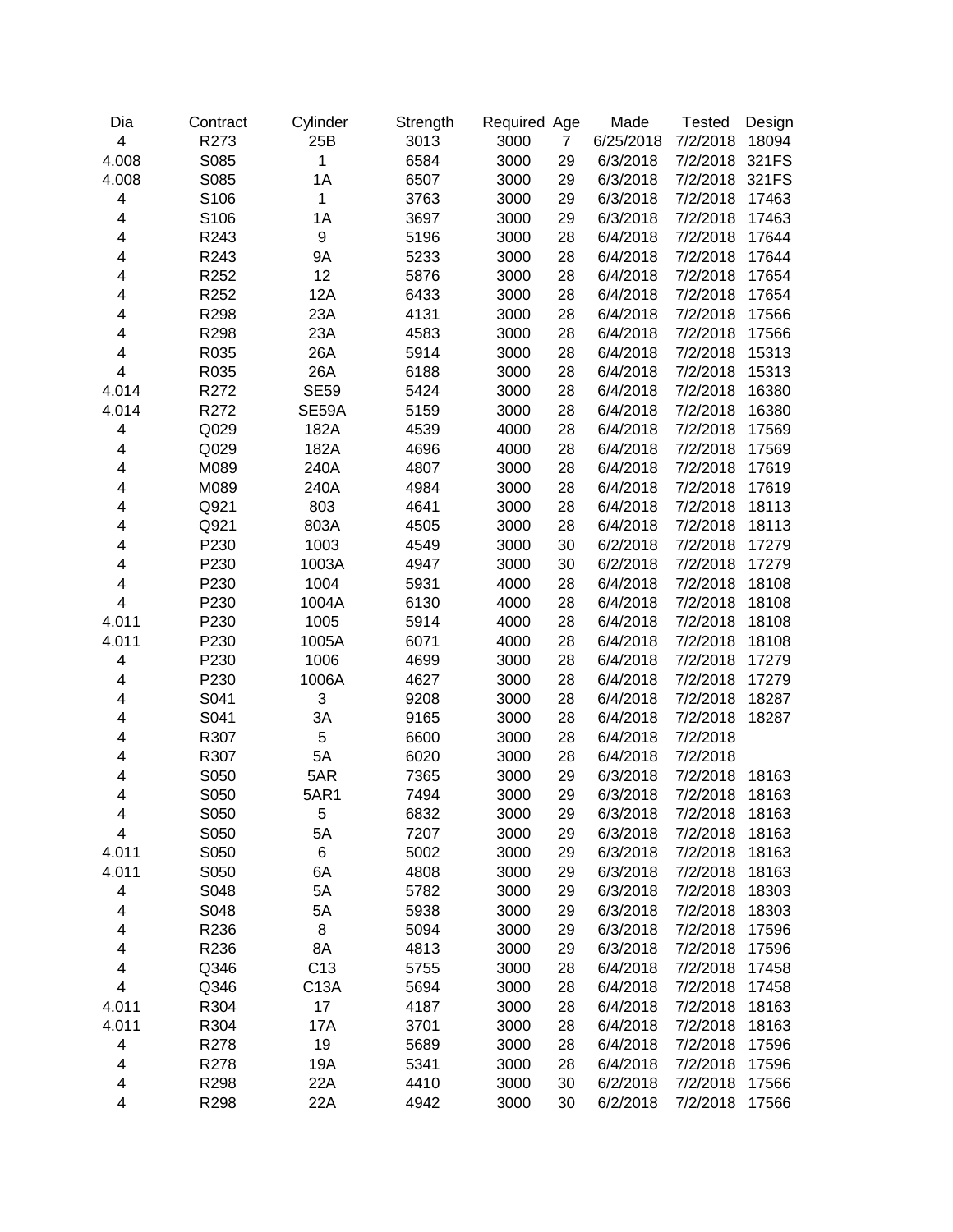| Dia   | Contract | Cylinder         | Strength | Required Age |                | Made      | <b>Tested</b> | Design |
|-------|----------|------------------|----------|--------------|----------------|-----------|---------------|--------|
| 4     | R273     | 25B              | 3013     | 3000         | $\overline{7}$ | 6/25/2018 | 7/2/2018      | 18094  |
| 4.008 | S085     | 1                | 6584     | 3000         | 29             | 6/3/2018  | 7/2/2018      | 321FS  |
| 4.008 | S085     | 1A               | 6507     | 3000         | 29             | 6/3/2018  | 7/2/2018      | 321FS  |
| 4     | S106     | 1                | 3763     | 3000         | 29             | 6/3/2018  | 7/2/2018      | 17463  |
| 4     | S106     | 1A               | 3697     | 3000         | 29             | 6/3/2018  | 7/2/2018      | 17463  |
| 4     | R243     | $\boldsymbol{9}$ | 5196     | 3000         | 28             | 6/4/2018  | 7/2/2018      | 17644  |
| 4     | R243     | <b>9A</b>        | 5233     | 3000         | 28             | 6/4/2018  | 7/2/2018      | 17644  |
| 4     | R252     | 12               | 5876     | 3000         | 28             | 6/4/2018  | 7/2/2018      | 17654  |
| 4     | R252     | 12A              | 6433     | 3000         | 28             | 6/4/2018  | 7/2/2018      | 17654  |
| 4     | R298     | 23A              | 4131     | 3000         | 28             | 6/4/2018  | 7/2/2018      | 17566  |
| 4     | R298     | 23A              | 4583     | 3000         | 28             | 6/4/2018  | 7/2/2018      | 17566  |
| 4     | R035     | 26A              | 5914     | 3000         | 28             | 6/4/2018  | 7/2/2018      | 15313  |
| 4     | R035     | 26A              | 6188     | 3000         | 28             | 6/4/2018  | 7/2/2018      | 15313  |
| 4.014 | R272     | <b>SE59</b>      | 5424     | 3000         | 28             | 6/4/2018  | 7/2/2018      | 16380  |
| 4.014 | R272     | SE59A            | 5159     | 3000         | 28             | 6/4/2018  | 7/2/2018      | 16380  |
| 4     | Q029     | 182A             | 4539     | 4000         | 28             | 6/4/2018  | 7/2/2018      | 17569  |
| 4     | Q029     | 182A             | 4696     | 4000         | 28             | 6/4/2018  | 7/2/2018      | 17569  |
| 4     | M089     | 240A             | 4807     | 3000         | 28             | 6/4/2018  | 7/2/2018      | 17619  |
| 4     | M089     | 240A             | 4984     | 3000         | 28             | 6/4/2018  | 7/2/2018      | 17619  |
| 4     | Q921     | 803              | 4641     | 3000         | 28             | 6/4/2018  | 7/2/2018      | 18113  |
| 4     | Q921     | 803A             | 4505     | 3000         | 28             | 6/4/2018  | 7/2/2018      | 18113  |
| 4     | P230     | 1003             | 4549     | 3000         | 30             | 6/2/2018  | 7/2/2018      | 17279  |
| 4     | P230     | 1003A            | 4947     | 3000         | 30             | 6/2/2018  | 7/2/2018      | 17279  |
| 4     | P230     | 1004             | 5931     | 4000         | 28             | 6/4/2018  | 7/2/2018      | 18108  |
| 4     | P230     | 1004A            | 6130     | 4000         | 28             | 6/4/2018  | 7/2/2018      | 18108  |
| 4.011 | P230     | 1005             | 5914     | 4000         | 28             | 6/4/2018  | 7/2/2018      | 18108  |
| 4.011 | P230     | 1005A            | 6071     | 4000         | 28             | 6/4/2018  | 7/2/2018      | 18108  |
| 4     | P230     | 1006             | 4699     | 3000         | 28             | 6/4/2018  | 7/2/2018      | 17279  |
| 4     | P230     | 1006A            | 4627     | 3000         | 28             | 6/4/2018  | 7/2/2018      | 17279  |
| 4     | S041     | 3                | 9208     | 3000         | 28             | 6/4/2018  | 7/2/2018      | 18287  |
| 4     | S041     | 3A               | 9165     | 3000         | 28             | 6/4/2018  | 7/2/2018      | 18287  |
| 4     | R307     | 5                | 6600     | 3000         | 28             | 6/4/2018  | 7/2/2018      |        |
| 4     | R307     | 5A               | 6020     | 3000         | 28             | 6/4/2018  | 7/2/2018      |        |
| 4     | S050     | 5AR              | 7365     | 3000         | 29             | 6/3/2018  | 7/2/2018      | 18163  |
| 4     | S050     | <b>5AR1</b>      | 7494     | 3000         | 29             | 6/3/2018  | 7/2/2018      | 18163  |
| 4     | S050     | 5                | 6832     | 3000         | 29             | 6/3/2018  | 7/2/2018      | 18163  |
| 4     | S050     | 5A               | 7207     | 3000         | 29             | 6/3/2018  | 7/2/2018      | 18163  |
| 4.011 | S050     | 6                | 5002     | 3000         | 29             | 6/3/2018  | 7/2/2018      | 18163  |
| 4.011 | S050     | 6A               | 4808     | 3000         | 29             | 6/3/2018  | 7/2/2018      | 18163  |
| 4     | S048     | 5A               | 5782     | 3000         | 29             | 6/3/2018  | 7/2/2018      | 18303  |
| 4     | S048     | 5A               | 5938     | 3000         | 29             | 6/3/2018  | 7/2/2018      | 18303  |
| 4     | R236     | 8                | 5094     | 3000         | 29             | 6/3/2018  | 7/2/2018      | 17596  |
| 4     | R236     | 8A               | 4813     | 3000         | 29             | 6/3/2018  | 7/2/2018      | 17596  |
| 4     | Q346     | C <sub>13</sub>  | 5755     | 3000         | 28             | 6/4/2018  | 7/2/2018      | 17458  |
| 4     | Q346     | C13A             | 5694     | 3000         | 28             | 6/4/2018  | 7/2/2018      | 17458  |
| 4.011 | R304     | 17               | 4187     | 3000         | 28             | 6/4/2018  | 7/2/2018      | 18163  |
| 4.011 | R304     | 17A              | 3701     | 3000         | 28             | 6/4/2018  | 7/2/2018      | 18163  |
| 4     | R278     | 19               | 5689     | 3000         | 28             | 6/4/2018  | 7/2/2018      | 17596  |
| 4     | R278     | 19A              | 5341     | 3000         | 28             | 6/4/2018  | 7/2/2018      | 17596  |
| 4     | R298     | 22A              | 4410     | 3000         | 30             | 6/2/2018  | 7/2/2018      | 17566  |
| 4     | R298     | 22A              | 4942     | 3000         | 30             | 6/2/2018  | 7/2/2018      | 17566  |
|       |          |                  |          |              |                |           |               |        |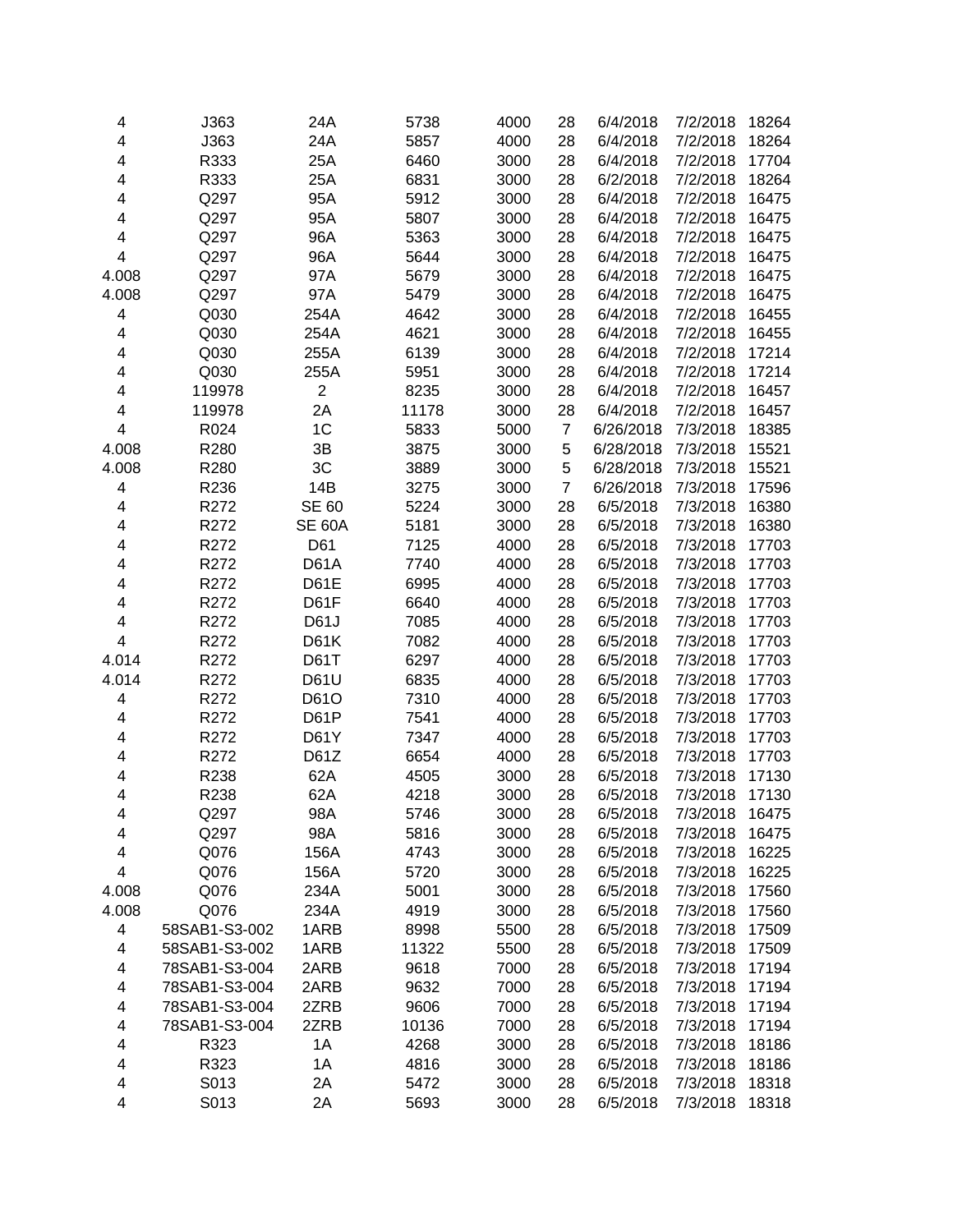| 4                       | J363          | 24A            | 5738  | 4000 | 28             | 6/4/2018  | 7/2/2018 | 18264 |
|-------------------------|---------------|----------------|-------|------|----------------|-----------|----------|-------|
| 4                       | J363          | 24A            | 5857  | 4000 | 28             | 6/4/2018  | 7/2/2018 | 18264 |
| 4                       | R333          | 25A            | 6460  | 3000 | 28             | 6/4/2018  | 7/2/2018 | 17704 |
| 4                       | R333          | 25A            | 6831  | 3000 | 28             | 6/2/2018  | 7/2/2018 | 18264 |
| 4                       | Q297          | 95A            | 5912  | 3000 | 28             | 6/4/2018  | 7/2/2018 | 16475 |
| 4                       | Q297          | 95A            | 5807  | 3000 | 28             | 6/4/2018  | 7/2/2018 | 16475 |
| 4                       | Q297          | 96A            | 5363  | 3000 | 28             | 6/4/2018  | 7/2/2018 | 16475 |
| 4                       | Q297          | 96A            | 5644  | 3000 | 28             | 6/4/2018  | 7/2/2018 | 16475 |
| 4.008                   | Q297          | 97A            | 5679  | 3000 | 28             | 6/4/2018  | 7/2/2018 | 16475 |
| 4.008                   | Q297          | 97A            | 5479  | 3000 | 28             | 6/4/2018  | 7/2/2018 | 16475 |
| 4                       | Q030          | 254A           | 4642  | 3000 | 28             | 6/4/2018  | 7/2/2018 | 16455 |
| 4                       | Q030          | 254A           | 4621  | 3000 | 28             | 6/4/2018  | 7/2/2018 | 16455 |
| 4                       | Q030          | 255A           | 6139  | 3000 | 28             | 6/4/2018  | 7/2/2018 | 17214 |
| 4                       | Q030          | 255A           | 5951  | 3000 | 28             | 6/4/2018  | 7/2/2018 | 17214 |
| 4                       | 119978        | $\overline{2}$ | 8235  | 3000 | 28             | 6/4/2018  | 7/2/2018 | 16457 |
| 4                       | 119978        | 2A             | 11178 | 3000 | 28             | 6/4/2018  | 7/2/2018 | 16457 |
| $\overline{\mathbf{4}}$ | R024          | 1C             | 5833  | 5000 | $\overline{7}$ | 6/26/2018 | 7/3/2018 | 18385 |
| 4.008                   | R280          | 3B             | 3875  | 3000 | 5              | 6/28/2018 | 7/3/2018 | 15521 |
| 4.008                   | R280          | 3C             | 3889  | 3000 | 5              | 6/28/2018 | 7/3/2018 | 15521 |
| 4                       | R236          | 14B            | 3275  | 3000 | 7              | 6/26/2018 | 7/3/2018 | 17596 |
| 4                       | R272          | SE 60          | 5224  | 3000 | 28             | 6/5/2018  | 7/3/2018 | 16380 |
| 4                       | R272          | <b>SE 60A</b>  | 5181  | 3000 | 28             | 6/5/2018  | 7/3/2018 | 16380 |
| 4                       | R272          | D61            | 7125  | 4000 | 28             | 6/5/2018  | 7/3/2018 | 17703 |
| 4                       | R272          | D61A           | 7740  | 4000 | 28             | 6/5/2018  | 7/3/2018 | 17703 |
| 4                       | R272          | D61E           | 6995  | 4000 | 28             | 6/5/2018  | 7/3/2018 | 17703 |
| 4                       | R272          | D61F           | 6640  | 4000 | 28             | 6/5/2018  | 7/3/2018 | 17703 |
| 4                       | R272          | D61J           | 7085  | 4000 | 28             | 6/5/2018  | 7/3/2018 | 17703 |
| 4                       | R272          | D61K           | 7082  | 4000 | 28             | 6/5/2018  | 7/3/2018 | 17703 |
| 4.014                   | R272          | D61T           | 6297  | 4000 | 28             | 6/5/2018  | 7/3/2018 | 17703 |
| 4.014                   | R272          | <b>D61U</b>    | 6835  | 4000 | 28             | 6/5/2018  | 7/3/2018 | 17703 |
| 4                       | R272          | D61O           | 7310  | 4000 | 28             | 6/5/2018  | 7/3/2018 | 17703 |
| 4                       | R272          | D61P           | 7541  | 4000 | 28             | 6/5/2018  | 7/3/2018 | 17703 |
| 4                       | R272          | D61Y           | 7347  | 4000 | 28             | 6/5/2018  | 7/3/2018 | 17703 |
| 4                       | R272          | D61Z           | 6654  | 4000 | 28             | 6/5/2018  | 7/3/2018 | 17703 |
| 4                       | R238          | 62A            | 4505  | 3000 | 28             | 6/5/2018  | 7/3/2018 | 17130 |
| 4                       | R238          | 62A            | 4218  | 3000 | 28             | 6/5/2018  | 7/3/2018 | 17130 |
| 4                       | Q297          | 98A            | 5746  | 3000 | 28             | 6/5/2018  | 7/3/2018 | 16475 |
| 4                       | Q297          | 98A            | 5816  | 3000 | 28             | 6/5/2018  | 7/3/2018 | 16475 |
| 4                       | Q076          | 156A           | 4743  | 3000 | 28             | 6/5/2018  | 7/3/2018 | 16225 |
| 4                       | Q076          | 156A           | 5720  | 3000 | 28             | 6/5/2018  | 7/3/2018 | 16225 |
| 4.008                   | Q076          | 234A           | 5001  | 3000 | 28             | 6/5/2018  | 7/3/2018 | 17560 |
| 4.008                   | Q076          | 234A           | 4919  | 3000 | 28             | 6/5/2018  | 7/3/2018 | 17560 |
| 4                       | 58SAB1-S3-002 | 1ARB           | 8998  | 5500 | 28             | 6/5/2018  | 7/3/2018 | 17509 |
| 4                       | 58SAB1-S3-002 | 1ARB           | 11322 | 5500 | 28             | 6/5/2018  | 7/3/2018 | 17509 |
| 4                       | 78SAB1-S3-004 | 2ARB           | 9618  | 7000 | 28             | 6/5/2018  | 7/3/2018 | 17194 |
|                         |               |                |       |      |                | 6/5/2018  |          |       |
| 4                       | 78SAB1-S3-004 | 2ARB           | 9632  | 7000 | 28             |           | 7/3/2018 | 17194 |
| 4                       | 78SAB1-S3-004 | 2ZRB           | 9606  | 7000 | 28             | 6/5/2018  | 7/3/2018 | 17194 |
| 4                       | 78SAB1-S3-004 | 2ZRB           | 10136 | 7000 | 28             | 6/5/2018  | 7/3/2018 | 17194 |
| 4                       | R323          | 1A             | 4268  | 3000 | 28             | 6/5/2018  | 7/3/2018 | 18186 |
| 4                       | R323          | 1A             | 4816  | 3000 | 28             | 6/5/2018  | 7/3/2018 | 18186 |
| 4                       | S013          | 2A             | 5472  | 3000 | 28             | 6/5/2018  | 7/3/2018 | 18318 |
| 4                       | S013          | 2Α             | 5693  | 3000 | 28             | 6/5/2018  | 7/3/2018 | 18318 |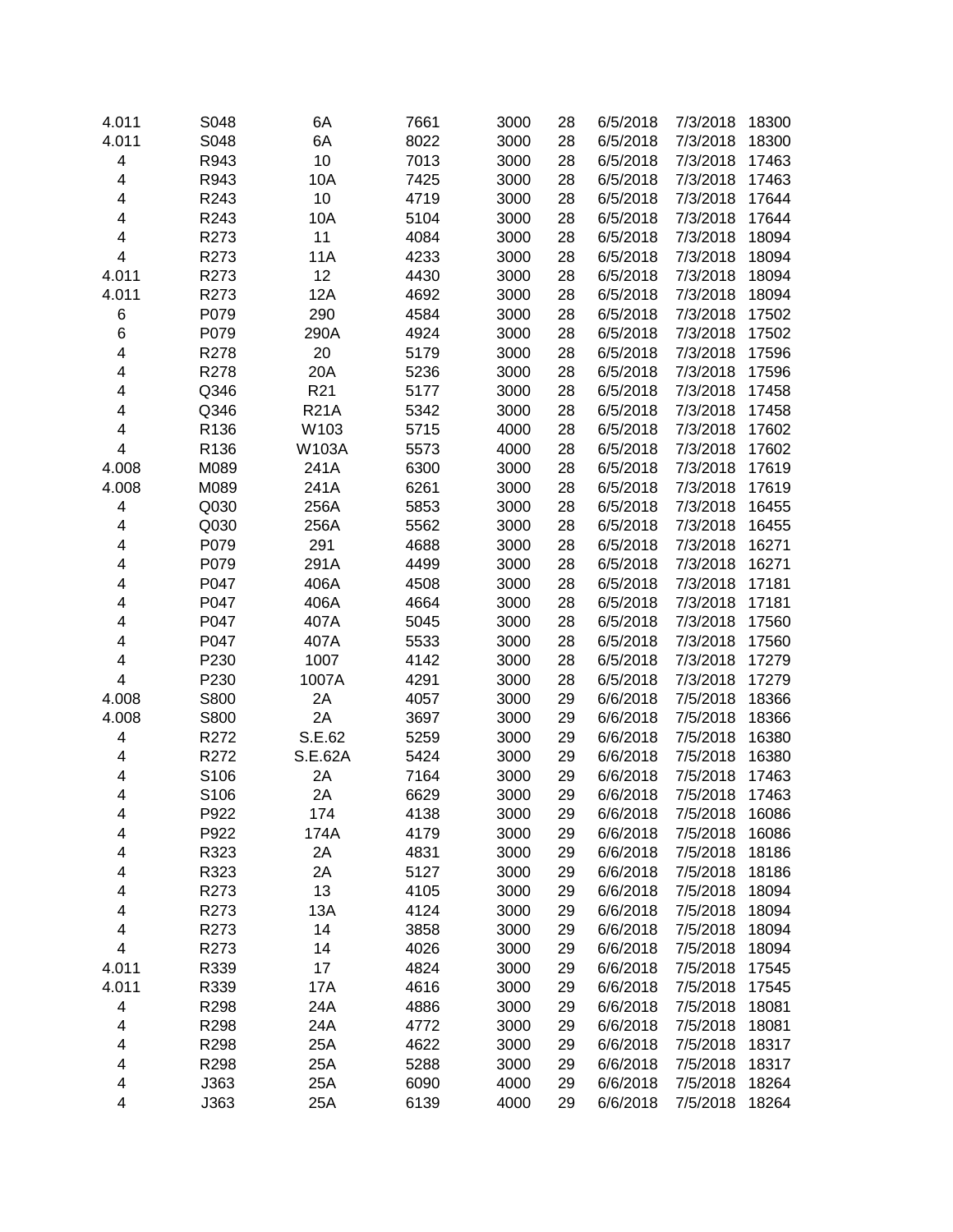| 4.011 | S048 | 6A              | 7661 | 3000 | 28 | 6/5/2018 | 7/3/2018 | 18300 |
|-------|------|-----------------|------|------|----|----------|----------|-------|
| 4.011 | S048 | 6A              | 8022 | 3000 | 28 | 6/5/2018 | 7/3/2018 | 18300 |
| 4     | R943 | 10              | 7013 | 3000 | 28 | 6/5/2018 | 7/3/2018 | 17463 |
| 4     | R943 | 10A             | 7425 | 3000 | 28 | 6/5/2018 | 7/3/2018 | 17463 |
| 4     | R243 | 10              | 4719 | 3000 | 28 | 6/5/2018 | 7/3/2018 | 17644 |
| 4     | R243 | 10A             | 5104 | 3000 | 28 | 6/5/2018 | 7/3/2018 | 17644 |
| 4     | R273 | 11              | 4084 | 3000 | 28 | 6/5/2018 | 7/3/2018 | 18094 |
| 4     | R273 | 11A             | 4233 | 3000 | 28 | 6/5/2018 | 7/3/2018 | 18094 |
| 4.011 | R273 | 12              | 4430 | 3000 | 28 | 6/5/2018 | 7/3/2018 | 18094 |
| 4.011 | R273 | 12A             | 4692 | 3000 | 28 | 6/5/2018 | 7/3/2018 | 18094 |
| 6     | P079 | 290             | 4584 | 3000 | 28 | 6/5/2018 | 7/3/2018 | 17502 |
| 6     | P079 | 290A            | 4924 | 3000 | 28 | 6/5/2018 | 7/3/2018 | 17502 |
| 4     | R278 | 20              | 5179 | 3000 | 28 | 6/5/2018 | 7/3/2018 | 17596 |
| 4     | R278 | 20A             | 5236 | 3000 | 28 | 6/5/2018 | 7/3/2018 | 17596 |
| 4     | Q346 | R <sub>21</sub> | 5177 | 3000 | 28 | 6/5/2018 | 7/3/2018 | 17458 |
| 4     | Q346 | <b>R21A</b>     | 5342 | 3000 | 28 | 6/5/2018 | 7/3/2018 | 17458 |
| 4     | R136 | W103            | 5715 | 4000 | 28 | 6/5/2018 | 7/3/2018 | 17602 |
| 4     | R136 | W103A           | 5573 | 4000 | 28 | 6/5/2018 | 7/3/2018 | 17602 |
| 4.008 | M089 | 241A            | 6300 | 3000 | 28 | 6/5/2018 | 7/3/2018 | 17619 |
| 4.008 | M089 | 241A            | 6261 | 3000 | 28 | 6/5/2018 | 7/3/2018 | 17619 |
| 4     | Q030 | 256A            | 5853 | 3000 | 28 | 6/5/2018 | 7/3/2018 | 16455 |
| 4     | Q030 | 256A            | 5562 | 3000 |    | 6/5/2018 | 7/3/2018 | 16455 |
|       |      |                 |      |      | 28 |          |          |       |
| 4     | P079 | 291             | 4688 | 3000 | 28 | 6/5/2018 | 7/3/2018 | 16271 |
| 4     | P079 | 291A            | 4499 | 3000 | 28 | 6/5/2018 | 7/3/2018 | 16271 |
| 4     | P047 | 406A            | 4508 | 3000 | 28 | 6/5/2018 | 7/3/2018 | 17181 |
| 4     | P047 | 406A            | 4664 | 3000 | 28 | 6/5/2018 | 7/3/2018 | 17181 |
| 4     | P047 | 407A            | 5045 | 3000 | 28 | 6/5/2018 | 7/3/2018 | 17560 |
| 4     | P047 | 407A            | 5533 | 3000 | 28 | 6/5/2018 | 7/3/2018 | 17560 |
| 4     | P230 | 1007            | 4142 | 3000 | 28 | 6/5/2018 | 7/3/2018 | 17279 |
| 4     | P230 | 1007A           | 4291 | 3000 | 28 | 6/5/2018 | 7/3/2018 | 17279 |
| 4.008 | S800 | 2A              | 4057 | 3000 | 29 | 6/6/2018 | 7/5/2018 | 18366 |
| 4.008 | S800 | 2A              | 3697 | 3000 | 29 | 6/6/2018 | 7/5/2018 | 18366 |
| 4     | R272 | S.E.62          | 5259 | 3000 | 29 | 6/6/2018 | 7/5/2018 | 16380 |
| 4     | R272 | S.E.62A         | 5424 | 3000 | 29 | 6/6/2018 | 7/5/2018 | 16380 |
| 4     | S106 | 2A              | 7164 | 3000 | 29 | 6/6/2018 | 7/5/2018 | 17463 |
| 4     | S106 | 2A              | 6629 | 3000 | 29 | 6/6/2018 | 7/5/2018 | 17463 |
| 4     | P922 | 174             | 4138 | 3000 | 29 | 6/6/2018 | 7/5/2018 | 16086 |
| 4     | P922 | 174A            | 4179 | 3000 | 29 | 6/6/2018 | 7/5/2018 | 16086 |
| 4     | R323 | 2A              | 4831 | 3000 | 29 | 6/6/2018 | 7/5/2018 | 18186 |
| 4     | R323 | 2A              | 5127 | 3000 | 29 | 6/6/2018 | 7/5/2018 | 18186 |
| 4     | R273 | 13              | 4105 | 3000 | 29 | 6/6/2018 | 7/5/2018 | 18094 |
| 4     | R273 | 13A             | 4124 | 3000 | 29 | 6/6/2018 | 7/5/2018 | 18094 |
| 4     | R273 | 14              | 3858 | 3000 | 29 | 6/6/2018 | 7/5/2018 | 18094 |
| 4     | R273 | 14              | 4026 | 3000 | 29 | 6/6/2018 | 7/5/2018 | 18094 |
| 4.011 | R339 | 17              | 4824 | 3000 | 29 | 6/6/2018 | 7/5/2018 | 17545 |
| 4.011 | R339 | 17A             | 4616 | 3000 | 29 | 6/6/2018 | 7/5/2018 | 17545 |
| 4     | R298 | 24A             | 4886 | 3000 | 29 | 6/6/2018 | 7/5/2018 | 18081 |
| 4     | R298 | 24A             | 4772 | 3000 | 29 | 6/6/2018 | 7/5/2018 | 18081 |
| 4     | R298 | 25A             | 4622 | 3000 | 29 | 6/6/2018 | 7/5/2018 | 18317 |
| 4     | R298 | 25A             | 5288 | 3000 | 29 | 6/6/2018 | 7/5/2018 | 18317 |
| 4     | J363 | 25A             | 6090 | 4000 | 29 | 6/6/2018 | 7/5/2018 | 18264 |
| 4     | J363 | 25A             | 6139 | 4000 | 29 | 6/6/2018 | 7/5/2018 | 18264 |
|       |      |                 |      |      |    |          |          |       |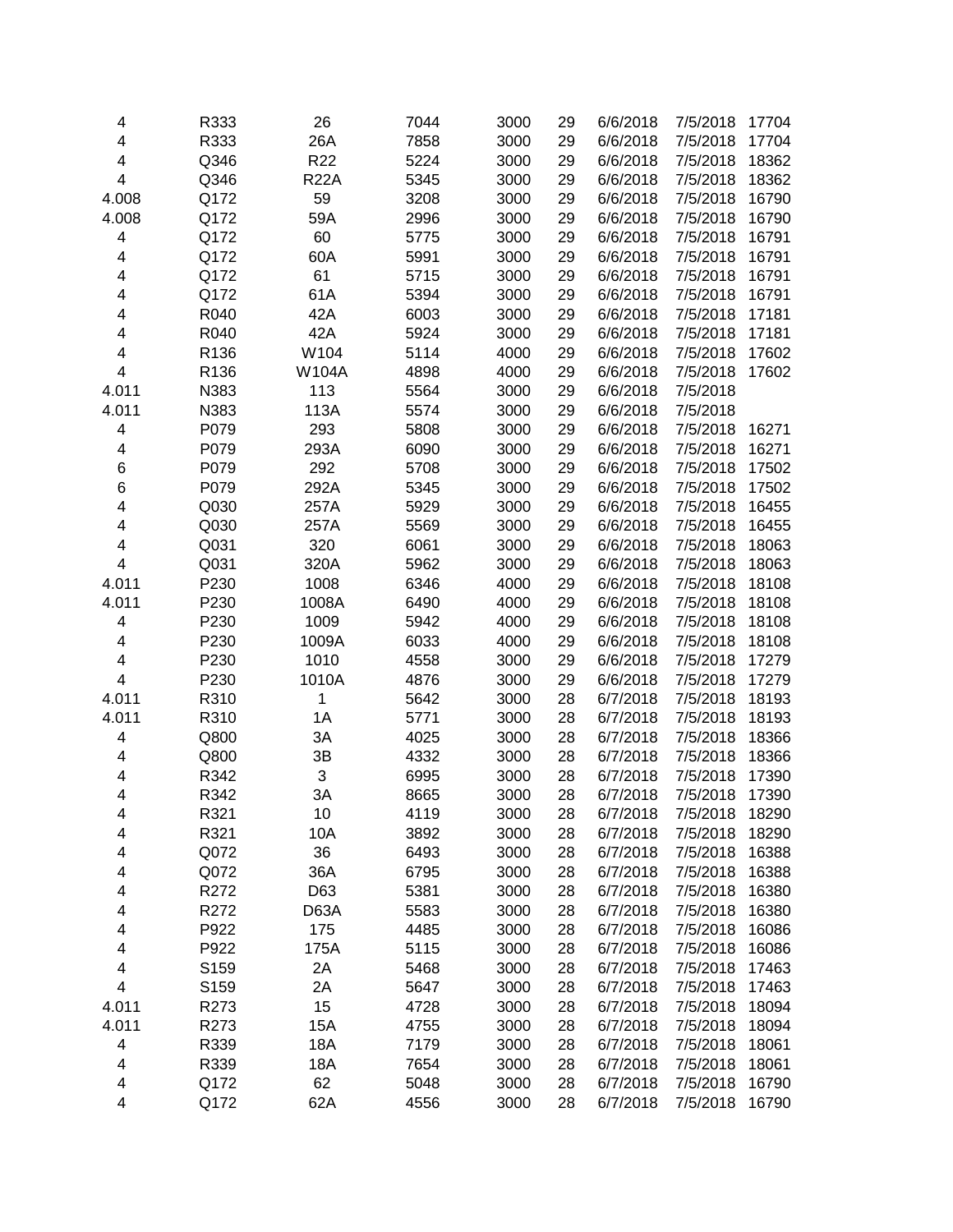| 4     | R333         | 26              | 7044         | 3000         | 29 | 6/6/2018             | 7/5/2018             | 17704          |
|-------|--------------|-----------------|--------------|--------------|----|----------------------|----------------------|----------------|
| 4     | R333         | 26A             | 7858         | 3000         | 29 | 6/6/2018             | 7/5/2018             | 17704          |
| 4     | Q346         | R <sub>22</sub> | 5224         | 3000         | 29 | 6/6/2018             | 7/5/2018             | 18362          |
| 4     | Q346         | <b>R22A</b>     | 5345         | 3000         | 29 | 6/6/2018             | 7/5/2018             | 18362          |
| 4.008 | Q172         | 59              | 3208         | 3000         | 29 | 6/6/2018             | 7/5/2018             | 16790          |
| 4.008 | Q172         | 59A             | 2996         | 3000         | 29 | 6/6/2018             | 7/5/2018             | 16790          |
| 4     | Q172         | 60              | 5775         | 3000         | 29 | 6/6/2018             | 7/5/2018             | 16791          |
| 4     | Q172         | 60A             | 5991         | 3000         | 29 | 6/6/2018             | 7/5/2018             | 16791          |
| 4     | Q172         | 61              | 5715         | 3000         | 29 | 6/6/2018             | 7/5/2018             | 16791          |
| 4     | Q172         | 61A             | 5394         | 3000         | 29 | 6/6/2018             | 7/5/2018             | 16791          |
| 4     | R040         | 42A             | 6003         | 3000         | 29 | 6/6/2018             | 7/5/2018             | 17181          |
| 4     | R040         | 42A             | 5924         | 3000         | 29 | 6/6/2018             | 7/5/2018             | 17181          |
| 4     | R136         | W104            | 5114         | 4000         | 29 | 6/6/2018             | 7/5/2018             | 17602          |
| 4     | R136         | <b>W104A</b>    | 4898         | 4000         | 29 | 6/6/2018             | 7/5/2018             | 17602          |
| 4.011 | N383         | 113             | 5564         | 3000         | 29 | 6/6/2018             | 7/5/2018             |                |
| 4.011 | N383         | 113A            | 5574         | 3000         | 29 | 6/6/2018             | 7/5/2018             |                |
| 4     | P079         | 293             | 5808         | 3000         | 29 | 6/6/2018             | 7/5/2018             | 16271          |
| 4     | P079         | 293A            | 6090         | 3000         | 29 | 6/6/2018             | 7/5/2018             | 16271          |
| 6     | P079         | 292             | 5708         | 3000         | 29 | 6/6/2018             | 7/5/2018             | 17502          |
| 6     | P079         | 292A            | 5345         | 3000         | 29 | 6/6/2018             | 7/5/2018             | 17502          |
| 4     | Q030         | 257A            | 5929         | 3000         | 29 | 6/6/2018             | 7/5/2018             | 16455          |
| 4     | Q030         | 257A            | 5569         | 3000         | 29 | 6/6/2018             | 7/5/2018             | 16455          |
| 4     | Q031         | 320             | 6061         | 3000         | 29 | 6/6/2018             | 7/5/2018             | 18063          |
| 4     | Q031         | 320A            | 5962         | 3000         | 29 | 6/6/2018             | 7/5/2018             | 18063          |
| 4.011 | P230         | 1008            | 6346         | 4000         | 29 | 6/6/2018             | 7/5/2018             | 18108          |
| 4.011 | P230         | 1008A           | 6490         | 4000         | 29 | 6/6/2018             | 7/5/2018             | 18108          |
| 4     | P230         | 1009            | 5942         | 4000         | 29 | 6/6/2018             | 7/5/2018             | 18108          |
| 4     | P230         | 1009A           | 6033         | 4000         | 29 | 6/6/2018             | 7/5/2018             | 18108          |
| 4     | P230         | 1010            | 4558         | 3000         | 29 | 6/6/2018             | 7/5/2018             | 17279          |
| 4     | P230         | 1010A           | 4876         | 3000         | 29 | 6/6/2018             | 7/5/2018             | 17279          |
| 4.011 | R310         | 1               | 5642         | 3000         | 28 | 6/7/2018             | 7/5/2018             | 18193          |
| 4.011 | R310         | 1A              | 5771         | 3000         | 28 | 6/7/2018             | 7/5/2018             | 18193          |
| 4     | Q800         | 3A              | 4025         | 3000         | 28 | 6/7/2018             | 7/5/2018             | 18366          |
| 4     | Q800         | 3B              | 4332         | 3000         | 28 | 6/7/2018             | 7/5/2018             | 18366          |
| 4     | R342         | 3               | 6995         | 3000         | 28 | 6/7/2018             | 7/5/2018             | 17390          |
| 4     | R342         | ЗA              | 8665         | 3000         | 28 | 6/7/2018             | 7/5/2018             | 17390          |
|       |              |                 |              |              |    |                      |                      |                |
| 4     | R321<br>R321 | 10              | 4119<br>3892 | 3000<br>3000 | 28 | 6/7/2018<br>6/7/2018 | 7/5/2018<br>7/5/2018 | 18290<br>18290 |
| 4     |              | 10A             |              |              | 28 |                      |                      |                |
| 4     | Q072         | 36<br>36A       | 6493         | 3000         | 28 | 6/7/2018<br>6/7/2018 | 7/5/2018             | 16388<br>16388 |
| 4     | Q072         |                 | 6795         | 3000         | 28 |                      | 7/5/2018             |                |
| 4     | R272         | D63             | 5381         | 3000         | 28 | 6/7/2018             | 7/5/2018             | 16380          |
| 4     | R272         | D63A            | 5583         | 3000         | 28 | 6/7/2018             | 7/5/2018             | 16380          |
| 4     | P922         | 175             | 4485         | 3000         | 28 | 6/7/2018             | 7/5/2018             | 16086          |
| 4     | P922         | 175A            | 5115         | 3000         | 28 | 6/7/2018             | 7/5/2018             | 16086          |
| 4     | S159         | 2A              | 5468         | 3000         | 28 | 6/7/2018             | 7/5/2018             | 17463          |
| 4     | S159         | 2A              | 5647         | 3000         | 28 | 6/7/2018             | 7/5/2018             | 17463          |
| 4.011 | R273         | 15              | 4728         | 3000         | 28 | 6/7/2018             | 7/5/2018             | 18094          |
| 4.011 | R273         | 15A             | 4755         | 3000         | 28 | 6/7/2018             | 7/5/2018             | 18094          |
| 4     | R339         | 18A             | 7179         | 3000         | 28 | 6/7/2018             | 7/5/2018             | 18061          |
| 4     | R339         | 18A             | 7654         | 3000         | 28 | 6/7/2018             | 7/5/2018             | 18061          |
| 4     | Q172         | 62              | 5048         | 3000         | 28 | 6/7/2018             | 7/5/2018             | 16790          |
| 4     | Q172         | 62A             | 4556         | 3000         | 28 | 6/7/2018             | 7/5/2018             | 16790          |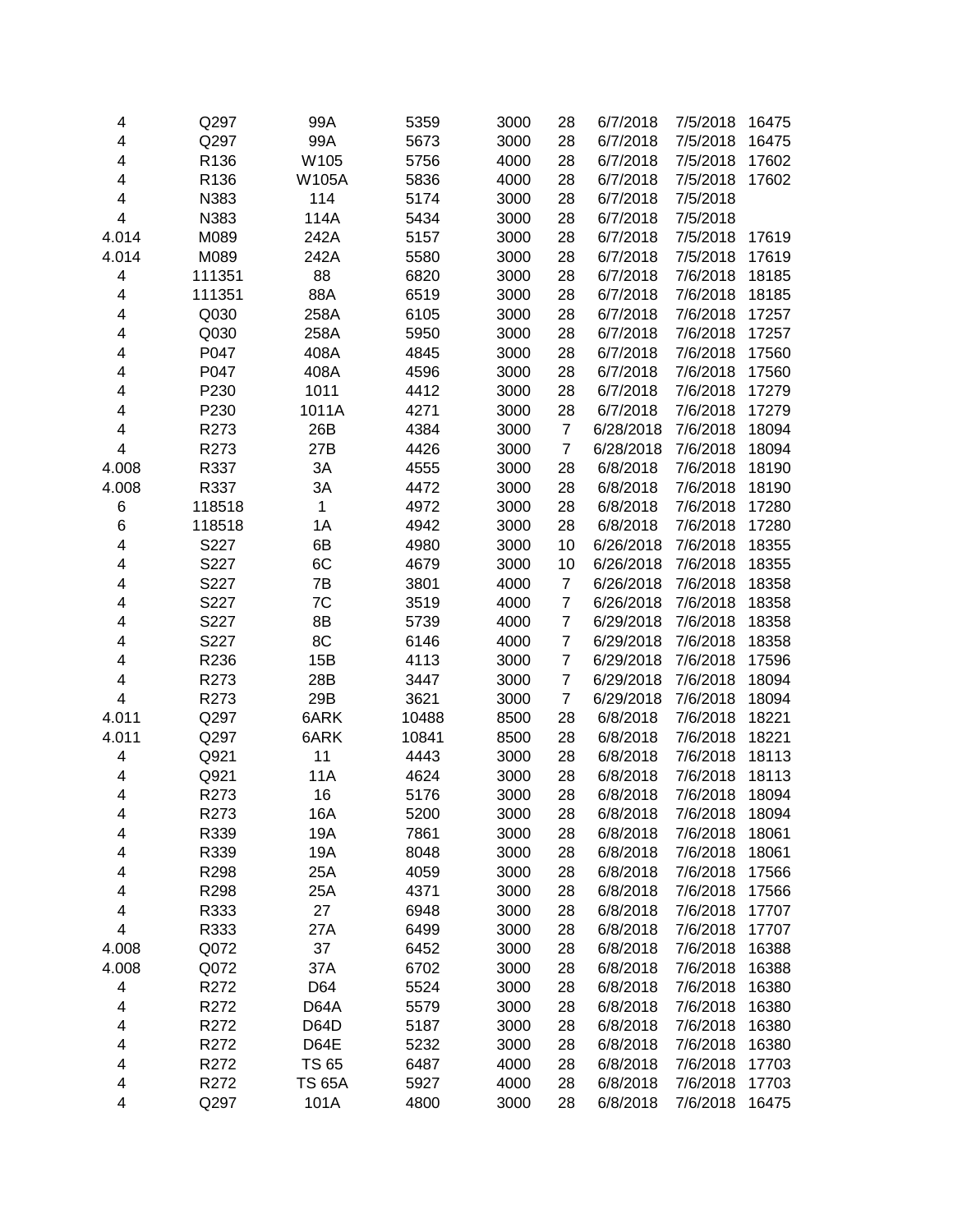| 4                       | Q297             | 99A           | 5359  | 3000 | 28               | 6/7/2018  | 7/5/2018 | 16475 |
|-------------------------|------------------|---------------|-------|------|------------------|-----------|----------|-------|
| 4                       | Q297             | 99A           | 5673  | 3000 | 28               | 6/7/2018  | 7/5/2018 | 16475 |
| 4                       | R136             | W105          | 5756  | 4000 | 28               | 6/7/2018  | 7/5/2018 | 17602 |
| 4                       | R136             | W105A         | 5836  | 4000 | 28               | 6/7/2018  | 7/5/2018 | 17602 |
| 4                       | N383             | 114           | 5174  | 3000 | 28               | 6/7/2018  | 7/5/2018 |       |
| 4                       | N383             | 114A          | 5434  | 3000 | 28               | 6/7/2018  | 7/5/2018 |       |
| 4.014                   | M089             | 242A          | 5157  | 3000 | 28               | 6/7/2018  | 7/5/2018 | 17619 |
| 4.014                   | M089             | 242A          | 5580  | 3000 | 28               | 6/7/2018  | 7/5/2018 | 17619 |
| 4                       | 111351           | 88            | 6820  | 3000 | 28               | 6/7/2018  | 7/6/2018 | 18185 |
| 4                       | 111351           | 88A           | 6519  | 3000 | 28               | 6/7/2018  | 7/6/2018 | 18185 |
| 4                       | Q030             | 258A          | 6105  | 3000 | 28               | 6/7/2018  | 7/6/2018 | 17257 |
| 4                       | Q030             | 258A          | 5950  | 3000 | 28               | 6/7/2018  | 7/6/2018 | 17257 |
| 4                       | P047             | 408A          | 4845  | 3000 | 28               | 6/7/2018  | 7/6/2018 | 17560 |
| 4                       | P047             | 408A          | 4596  | 3000 | 28               | 6/7/2018  | 7/6/2018 | 17560 |
| 4                       | P230             | 1011          | 4412  | 3000 | 28               | 6/7/2018  | 7/6/2018 | 17279 |
| 4                       | P230             | 1011A         | 4271  | 3000 | 28               | 6/7/2018  | 7/6/2018 | 17279 |
| 4                       | R273             | 26B           | 4384  | 3000 | $\overline{7}$   | 6/28/2018 | 7/6/2018 | 18094 |
| $\overline{\mathbf{4}}$ | R273             | 27B           | 4426  | 3000 | $\boldsymbol{7}$ | 6/28/2018 | 7/6/2018 | 18094 |
| 4.008                   | R337             | 3A            | 4555  | 3000 | 28               | 6/8/2018  | 7/6/2018 | 18190 |
| 4.008                   | R337             | 3A            | 4472  | 3000 | 28               | 6/8/2018  | 7/6/2018 | 18190 |
|                         | 118518           |               | 4972  | 3000 |                  | 6/8/2018  | 7/6/2018 | 17280 |
| 6                       |                  | 1             |       |      | 28               |           | 7/6/2018 |       |
| 6                       | 118518           | 1A            | 4942  | 3000 | 28               | 6/8/2018  |          | 17280 |
| 4                       | S227             | 6B            | 4980  | 3000 | 10               | 6/26/2018 | 7/6/2018 | 18355 |
| 4                       | S227             | 6C            | 4679  | 3000 | 10               | 6/26/2018 | 7/6/2018 | 18355 |
| 4                       | S227             | 7B            | 3801  | 4000 | $\overline{7}$   | 6/26/2018 | 7/6/2018 | 18358 |
| 4                       | S227             | 7C            | 3519  | 4000 | $\overline{7}$   | 6/26/2018 | 7/6/2018 | 18358 |
| 4                       | S227             | 8B            | 5739  | 4000 | $\overline{7}$   | 6/29/2018 | 7/6/2018 | 18358 |
| 4                       | S227             | 8C            | 6146  | 4000 | $\overline{7}$   | 6/29/2018 | 7/6/2018 | 18358 |
| 4                       | R236             | 15B           | 4113  | 3000 | $\overline{7}$   | 6/29/2018 | 7/6/2018 | 17596 |
| 4                       | R273             | 28B           | 3447  | 3000 | $\overline{7}$   | 6/29/2018 | 7/6/2018 | 18094 |
| 4                       | R273             | 29B           | 3621  | 3000 | $\overline{7}$   | 6/29/2018 | 7/6/2018 | 18094 |
| 4.011                   | Q297             | 6ARK          | 10488 | 8500 | 28               | 6/8/2018  | 7/6/2018 | 18221 |
| 4.011                   | Q297             | 6ARK          | 10841 | 8500 | 28               | 6/8/2018  | 7/6/2018 | 18221 |
| $\overline{\mathbf{4}}$ | Q921             | 11            | 4443  | 3000 | 28               | 6/8/2018  | 7/6/2018 | 18113 |
| 4                       | Q921             | 11A           | 4624  | 3000 | 28               | 6/8/2018  | 7/6/2018 | 18113 |
| 4                       | R273             | 16            | 5176  | 3000 | 28               | 6/8/2018  | 7/6/2018 | 18094 |
| 4                       | R <sub>273</sub> | 16A           | 5200  | 3000 | 28               | 6/8/2018  | 7/6/2018 | 18094 |
| 4                       | R339             | 19A           | 7861  | 3000 | 28               | 6/8/2018  | 7/6/2018 | 18061 |
| 4                       | R339             | 19A           | 8048  | 3000 | 28               | 6/8/2018  | 7/6/2018 | 18061 |
| 4                       | R298             | 25A           | 4059  | 3000 | 28               | 6/8/2018  | 7/6/2018 | 17566 |
| 4                       | R298             | 25A           | 4371  | 3000 | 28               | 6/8/2018  | 7/6/2018 | 17566 |
| 4                       | R333             | 27            | 6948  | 3000 | 28               | 6/8/2018  | 7/6/2018 | 17707 |
| 4                       | R333             | 27A           | 6499  | 3000 | 28               | 6/8/2018  | 7/6/2018 | 17707 |
| 4.008                   | Q072             | 37            | 6452  | 3000 | 28               | 6/8/2018  | 7/6/2018 | 16388 |
| 4.008                   | Q072             | 37A           | 6702  | 3000 | 28               | 6/8/2018  | 7/6/2018 | 16388 |
| 4                       | R272             | D64           | 5524  | 3000 | 28               | 6/8/2018  | 7/6/2018 | 16380 |
| 4                       | R272             | D64A          | 5579  | 3000 | 28               | 6/8/2018  | 7/6/2018 | 16380 |
| 4                       | R272             | D64D          | 5187  | 3000 | 28               | 6/8/2018  | 7/6/2018 | 16380 |
| 4                       | R272             | D64E          | 5232  | 3000 | 28               | 6/8/2018  | 7/6/2018 | 16380 |
| 4                       | R272             | <b>TS 65</b>  | 6487  | 4000 | 28               | 6/8/2018  | 7/6/2018 | 17703 |
| 4                       | R272             | <b>TS 65A</b> | 5927  | 4000 | 28               | 6/8/2018  | 7/6/2018 | 17703 |
| 4                       | Q297             | 101A          | 4800  | 3000 | 28               | 6/8/2018  | 7/6/2018 | 16475 |